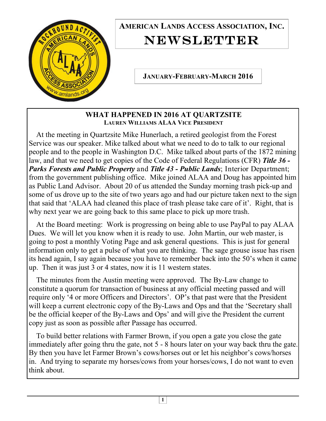

## **AMERICAN LANDS ACCESS ASSOCIATION, INC.**  NEWSLETTER

**JANUARY-FEBRUARY-MARCH 2016** 

**WHAT HAPPENED IN 2016 AT QUARTZSITE LAUREN WILLIAMS ALAA VICE PRESIDENT**

 At the meeting in Quartzsite Mike Hunerlach, a retired geologist from the Forest Service was our speaker. Mike talked about what we need to do to talk to our regional people and to the people in Washington D.C. Mike talked about parts of the 1872 mining law, and that we need to get copies of the Code of Federal Regulations (CFR) *Title 36 - Parks Forests and Public Property* and *Title 43 - Public Lands*; Interior Department; from the government publishing office. Mike joined ALAA and Doug has appointed him as Public Land Advisor. About 20 of us attended the Sunday morning trash pick-up and some of us drove up to the site of two years ago and had our picture taken next to the sign that said that 'ALAA had cleaned this place of trash please take care of it'. Right, that is why next year we are going back to this same place to pick up more trash.

 At the Board meeting: Work is progressing on being able to use PayPal to pay ALAA Dues. We will let you know when it is ready to use. John Martin, our web master, is going to post a monthly Voting Page and ask general questions. This is just for general information only to get a pulse of what you are thinking. The sage grouse issue has risen its head again, I say again because you have to remember back into the 50's when it came up. Then it was just 3 or 4 states, now it is 11 western states.

 The minutes from the Austin meeting were approved. The By-Law change to constitute a quorum for transaction of business at any official meeting passed and will require only '4 or more Officers and Directors'. OP's that past were that the President will keep a current electronic copy of the By-Laws and Ops and that the 'Secretary shall be the official keeper of the By-Laws and Ops' and will give the President the current copy just as soon as possible after Passage has occurred.

 To build better relations with Farmer Brown, if you open a gate you close the gate immediately after going thru the gate, not 5 - 8 hours later on your way back thru the gate. By then you have let Farmer Brown's cows/horses out or let his neighbor's cows/horses in. And trying to separate my horses/cows from your horses/cows, I do not want to even think about.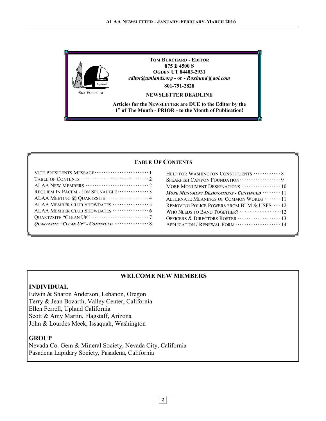

#### **TABLE OF CONTENTS**

| REQUIEM IN PACEM - JON SPUNAUGLE  3 |
|-------------------------------------|
|                                     |
|                                     |
| ALAA MEMBER CLUB SHOWDATES  6       |
|                                     |
|                                     |
|                                     |

| HELP FOR WASHINGTON CONSTITUENTS  8                     |
|---------------------------------------------------------|
|                                                         |
|                                                         |
| More Monument Designations - Continued … 11             |
| ALTERNATE MEANINGS OF COMMON WORDS ……… 11               |
| REMOVING POLICE POWERS FROM BLM $\&$ USFS $\,\cdots$ 12 |
|                                                         |
|                                                         |
| APPLICATION / RENEWAL FORM  14                          |
|                                                         |

#### **WELCOME NEW MEMBERS**

#### **INDIVIDUAL**

Edwin & Sharon Anderson, Lebanon, Oregon Terry & Jean Bozarth, Valley Center, California Ellen Ferrell, Upland California Scott & Amy Martin, Flagstaff, Arizona John & Lourdes Meek, Issaquah, Washington

#### **GROUP**

Nevada Co. Gem & Mineral Society, Nevada City, California Pasadena Lapidary Society, Pasadena, California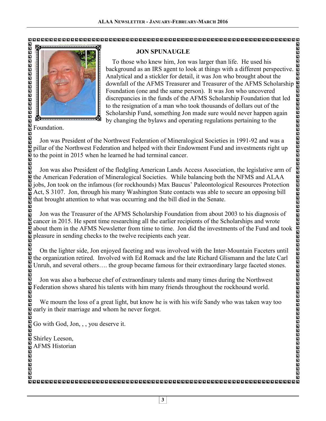

#### **JON SPUNAUGLE**

 To those who knew him, Jon was larger than life. He used his background as an IRS agent to look at things with a different perspective. Analytical and a stickler for detail, it was Jon who brought about the downfall of the AFMS Treasurer and Treasurer of the AFMS Scholarship Foundation (one and the same person). It was Jon who uncovered discrepancies in the funds of the AFMS Scholarship Foundation that led to the resignation of a man who took thousands of dollars out of the Scholarship Fund, something Jon made sure would never happen again by changing the bylaws and operating regulations pertaining to the

Foundation.

 Jon was President of the Northwest Federation of Mineralogical Societies in 1991-92 and was a pillar of the Northwest Federation and helped with their Endowment Fund and investments right up to the point in 2015 when he learned he had terminal cancer.

 Jon was also President of the fledgling American Lands Access Association, the legislative arm of the American Federation of Mineralogical Societies. While balancing both the NFMS and ALAA  $\overline{\mathbf{s}}$  ine American rederation of Mineralogical Societies. While balancing both the NFMS and ALAA  $\overline{\mathbf{s}}$  jobs, Jon took on the infamous (for rockhounds) Max Baucus' Paleontological Resources Protection  $\overline{\mathbf{s}}$  jobs, Jon took on the infamous (for rockhounds) Max Baucus' Paleontological Resources Protection i<br>D that brought attention to what was occurring and the bill died in the Senate.

 Jon was the Treasurer of the AFMS Scholarship Foundation from about 2003 to his diagnosis of cancer in 2015. He spent time researching all the earlier recipients of the Scholarships and wrote about them in the AFMS Newsletter from time to time. Jon did the investments of the Fund and took pleasure in sending checks to the twelve recipients each year.

 On the lighter side, Jon enjoyed faceting and was involved with the Inter-Mountain Faceters until the organization retired. Involved with Ed Romack and the late Richard Glismann and the late Carl Unruh, and several others…. the group became famous for their extraordinary large faceted stones.

 Jon was also a barbecue chef of extraordinary talents and many times during the Northwest Federation shows shared his talents with him many friends throughout the rockhound world.

 We mourn the loss of a great light, but know he is with his wife Sandy who was taken way too early in their marriage and whom he never forgot.

Go with God, Jon, , , you deserve it.

Shirley Leeson, AFMS Historian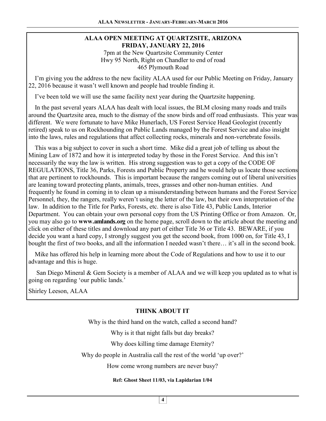#### **ALAA OPEN MEETING AT QUARTZSITE, ARIZONA FRIDAY, JANUARY 22, 2016**  7pm at the New Quartzsite Community Center Hwy 95 North, Right on Chandler to end of road

465 Plymouth Road

 I'm giving you the address to the new facility ALAA used for our Public Meeting on Friday, January 22, 2016 because it wasn't well known and people had trouble finding it.

I've been told we will use the same facility next year during the Quartzsite happening.

 In the past several years ALAA has dealt with local issues, the BLM closing many roads and trails around the Quartzsite area, much to the dismay of the snow birds and off road enthusiasts. This year was different. We were fortunate to have Mike Hunerlach, US Forest Service Head Geologist (recently retired) speak to us on Rockhounding on Public Lands managed by the Forest Service and also insight into the laws, rules and regulations that affect collecting rocks, minerals and non-vertebrate fossils.

 This was a big subject to cover in such a short time. Mike did a great job of telling us about the Mining Law of 1872 and how it is interpreted today by those in the Forest Service. And this isn't necessarily the way the law is written. His strong suggestion was to get a copy of the CODE OF REGULATIONS, Title 36, Parks, Forests and Public Property and he would help us locate those sections that are pertinent to rockhounds. This is important because the rangers coming out of liberal universities are leaning toward protecting plants, animals, trees, grasses and other non-human entities. And frequently he found in coming in to clean up a misunderstanding between humans and the Forest Service Personnel, they, the rangers, really weren't using the letter of the law, but their own interpretation of the law. In addition to the Title for Parks, Forests, etc. there is also Title 43, Public Lands, Interior Department. You can obtain your own personal copy from the US Printing Office or from Amazon. Or, you may also go to **www.amlands.org** on the home page, scroll down to the article about the meeting and click on either of these titles and download any part of either Title 36 or Title 43. BEWARE, if you decide you want a hard copy, I strongly suggest you get the second book, from 1000 on, for Title 43, I bought the first of two books, and all the information I needed wasn't there… it's all in the second book.

 Mike has offered his help in learning more about the Code of Regulations and how to use it to our advantage and this is huge.

 San Diego Mineral & Gem Society is a member of ALAA and we will keep you updated as to what is going on regarding 'our public lands.'

Shirley Leeson, ALAA

#### **THINK ABOUT IT**

Why is the third hand on the watch, called a second hand?

Why is it that night falls but day breaks?

Why does killing time damage Eternity?

Why do people in Australia call the rest of the world 'up over?'

How come wrong numbers are never busy?

#### **Ref: Ghost Sheet 11/03, via Lapidarian 1/04**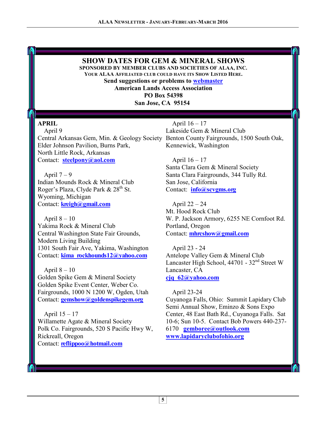#### **SHOW DATES FOR GEM & MINERAL SHOWS**

**SPONSORED BY MEMBER CLUBS AND SOCIETIES OF ALAA, INC. YOUR ALAA AFFILIATED CLUB COULD HAVE ITS SHOW LISTED HERE.** 

**Send suggestions or problems to webmaster** 

**American Lands Access Association PO Box 54398** 

**San Jose, CA 95154** 

#### **APRIL**

 April 9 Central Arkansas Gem, Min. & Geology Society Benton County Fairgrounds, 1500 South Oak, Elder Johnson Pavilion, Burns Park, North Little Rock, Arkansas Contact: **steelpony@aol.com**

April  $7 - 9$ Indian Mounds Rock & Mineral Club Roger's Plaza, Clyde Park & 28<sup>th</sup> St. Wyoming, Michigan Contact: **kreigh@gmail.com**

April  $8 - 10$ Yakima Rock & Mineral Club Central Washington State Fair Grounds, Modern Living Building 1301 South Fair Ave, Yakima, Washington Contact: **kima\_rockhounds12@yahoo.com**

April  $8 - 10$ Golden Spike Gem & Mineral Society Golden Spike Event Center, Weber Co. Fairgrounds, 1000 N 1200 W, Ogden, Utah Contact: **gemshow@goldenspikegem.org**

 April 15 – 17 Willamette Agate & Mineral Society Polk Co. Fairgrounds, 520 S Pacific Hwy W, Rickreall, Oregon Contact: **reflippoo@hotmail.com**

 April 16 – 17 Lakeside Gem & Mineral Club Kennewick, Washington

 April 16 – 17 Santa Clara Gem & Mineral Society Santa Clara Fairgrounds, 344 Tully Rd. San Jose, California Contact: **info@scvgms.org**

 April 22 – 24 Mt. Hood Rock Club W. P. Jackson Armory, 6255 NE Cornfoot Rd. Portland, Oregon Contact: **mhrcshow@gmail.com**

 April 23 - 24 Antelope Valley Gem & Mineral Club Lancaster High School,  $44701 - 32<sup>nd</sup>$  Street W Lancaster, CA **cjq\_62@yahoo.com**

April 23-24

Cuyanoga Falls, Ohio: Summit Lapidary Club Semi Annual Show, Eminzo & Sons Expo Center, 48 East Bath Rd., Cuyanoga Falls. Sat 10-6; Sun 10-5. Contact Bob Powers 440-237- 6170 **gemboree@outlook.com www.lapidaryclubofohio.org**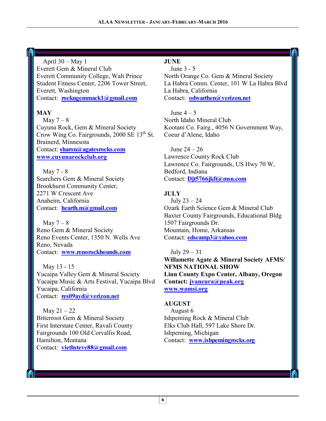#### April  $30 - May 1$

Everett Gem & Mineral Club Everett Community College, Walt Prince Student Fitness Center, 2206 Tower Street, Everett, Washington Contact: **rockngemmack1@gmail.com**

### **MAY**

May  $7 - 8$ Cuyuna Rock, Gem & Mineral Society Crow Wing Co. Fairgrounds,  $2000$  SE  $13<sup>th</sup>$  St. Brainerd, Minnesota Contact: **sharon@agatesrocks.com www.cuyunarockclub.org**

 May 7 - 8 Searchers Gem & Mineral Society Brookhurst Community Center, 2271 W Crescent Ave Anaheim, California Contact: **hearth.m@gmail.com**

May  $7 - 8$ Reno Gem & Mineral Society Reno Events Center, 1350 N. Wells Ave Reno, Nevada Contact: **www.renorockhounds.com**

 May 13 - 15 Yucaipa Valley Gem & Mineral Society Yucaipa Music & Arts Festival, Yucaipa Blvd Yucaipa, California Contact: **res09ayd@verizon.net**

May  $21 - 22$ Bitterroot Gem & Mineral Society First Interstate Center, Ravali County Fairgrounds 100 Old Corvallis Road, Hamilton, Montana Contact: **viethsteve88@gmail.com**

#### **JUNE**

 June 3 - 5 North Orange Co. Gem & Mineral Society La Habra Comm. Center, 101 W La Habra Blvd La Habra, California Contact: **odwarthen@verizon.net**

June  $4-5$ North Idaho Mineral Club Kootani Co. Fairg., 4056 N Government Way, Coeur d'Alene, Idaho

 June 24 – 26 Lawrence County Rock Club Lawrence Co. Fairgrounds, US Hwy 70 W, Bedford, Indiana Contact: **Djt5766jkft@msn.com**

#### **JULY**

 July 23 – 24 Ozark Earth Science Gem & Mineral Club Baxter County Fairgrounds, Educational Bldg 1507 Fairgrounds Dr. Mountain, Home, Arkansas Contact: **edscamp3@yahoo.com**

 July 29 – 31 **Willamette Agate & Mineral Society AFMS/ NFMS NATIONAL SHOW Linn County Expo Center, Albany, Oregon Contact: jvancura@peak.org www.wamsi.org** 

#### **AUGUST**

 August 6 Ishpeming Rock & Mineral Club Elks Club Hall, 597 Lake Shore Dr. Ishpeming, Michigan Contact: **www.ishpemingrocks.org**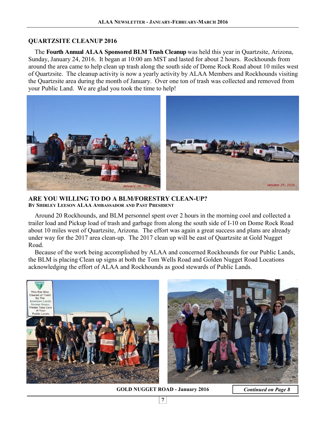#### **QUARTZSITE CLEANUP 2016**

 The **Fourth Annual ALAA Sponsored BLM Trash Cleanup** was held this year in Quartzsite, Arizona, Sunday, January 24, 2016. It began at 10:00 am MST and lasted for about 2 hours. Rockhounds from around the area came to help clean up trash along the south side of Dome Rock Road about 10 miles west of Quartzsite. The cleanup activity is now a yearly activity by ALAA Members and Rockhounds visiting the Quartzsite area during the month of January. Over one ton of trash was collected and removed from your Public Land. We are glad you took the time to help!



**ARE YOU WILLING TO DO A BLM/FORESTRY CLEAN-UP? BY SHIRLEY LEESON ALAA AMBASSADOR AND PAST PRESIDENT** 

 Around 20 Rockhounds, and BLM personnel spent over 2 hours in the morning cool and collected a trailer load and Pickup load of trash and garbage from along the south side of I-10 on Dome Rock Road about 10 miles west of Quartzsite, Arizona. The effort was again a great success and plans are already under way for the 2017 area clean-up. The 2017 clean up will be east of Quartzsite at Gold Nugget Road.

 Because of the work being accomplished by ALAA and concerned Rockhounds for our Public Lands, the BLM is placing Clean up signs at both the Tom Wells Road and Golden Nugget Road Locations acknowledging the effort of ALAA and Rockhounds as good stewards of Public Lands.



**GOLD NUGGET ROAD - January 2016** *Continued on Page 8*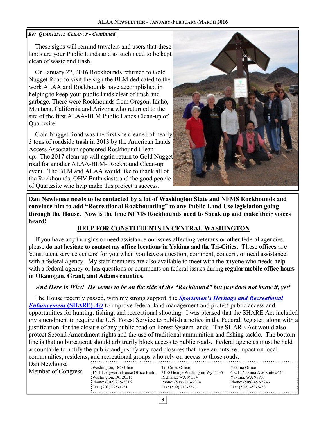#### *Re: QUARTZSITE CLEANUP - Continued*

 These signs will remind travelers and users that these lands are your Public Lands and as such need to be kept clean of waste and trash.

 On January 22, 2016 Rockhounds returned to Gold Nugget Road to visit the sign the BLM dedicated to the work ALAA and Rockhounds have accomplished in helping to keep your public lands clear of trash and garbage. There were Rockhounds from Oregon, Idaho, Montana, California and Arizona who returned to the site of the first ALAA-BLM Public Lands Clean-up of Quartzsite.

 Gold Nugget Road was the first site cleaned of nearly 3 tons of roadside trash in 2013 by the American Lands Access Association sponsored Rockhound Cleanup. The 2017 clean-up will again return to Gold Nugget road for another ALAA-BLM- Rockhound Clean-up event. The BLM and ALAA would like to thank all of the Rockhounds, OHV Enthusiasts and the good people of Quartzsite who help make this project a success.



**Dan Newhouse needs to be contacted by a lot of Washington State and NFMS Rockhounds and convince him to add "Recreational Rockhounding" to any Public Land Use legislation going through the House. Now is the time NFMS Rockhounds need to Speak up and make their voices heard!** 

#### **HELP FOR CONSTITUENTS IN CENTRAL WASHINGTON**

 If you have any thoughts or need assistance on issues affecting veterans or other federal agencies, please **do not hesitate to contact my office locations in Yakima and the Tri-Cities.** These offices are 'constituent service centers' for you when you have a question, comment, concern, or need assistance with a federal agency. My staff members are also available to meet with the anyone who needs help with a federal agency or has questions or comments on federal issues during **regular mobile office hours in Okanogan, Grant, and Adams counties**. Î

#### *And Here Is Why! He seems to be on the side of the "Rockhound" but just does not know it, yet!*

The House recently passed, with my strong support, the *Sportsmen's Heritage and Recreational Enhancement* (SHARE) *Act* to improve federal land management and protect public access and opportunities for hunting, fishing, and recreational shooting. I was pleased that the SHARE Act included my amendment to require the U.S. Forest Service to publish a notice in the Federal Register, along with a justification, for the closure of any public road on Forest System lands. The SHARE Act would also protect Second Amendment rights and the use of traditional ammunition and fishing tackle. The bottom line is that no bureaucrat should arbitrarily block access to public roads. Federal agencies must be held accountable to notify the public and justify any road closures that have an outsize impact on local communities, residents, and recreational groups who rely on access to those roads.

| Dan Newhouse       |                                     |                                |                              |
|--------------------|-------------------------------------|--------------------------------|------------------------------|
|                    | : Washington, DC Office             | Tri-Cities Office              | Yakima Office                |
| Member of Congress | :1641 Longworth House Office Build. | 3100 George Washington Wy #135 | 402 E. Yakima Ave Suite #445 |
|                    | : Washington, DC 20515              | Richland, WA 99354             | Yakima, WA 98901             |
|                    | : Phone: $(202)$ 225-5816           | Phone: (509) 713-7374          | Phone: (509) 452-3243        |
|                    | : Fax: $(202)$ 225-3251             | Fax: (509) 713-7377            | Fax: (509) 452-3438          |
|                    |                                     |                                |                              |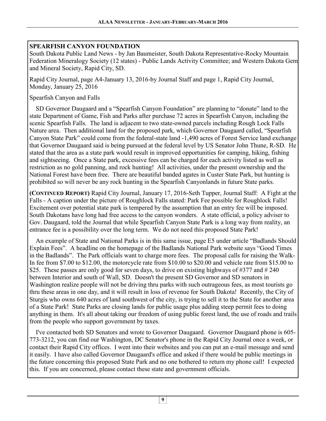#### **SPEARFISH CANYON FOUNDATION**

South Dakota Public Land News - by Jan Baumeister, South Dakota Representative-Rocky Mountain Federation Mineralogy Society (12 states) - Public Lands Activity Committee; and Western Dakota Gem and Mineral Society, Rapid City, SD.

Rapid City Journal, page A4-January 13, 2016-by Journal Staff and page 1, Rapid City Journal, Monday, January 25, 2016

#### Spearfish Canyon and Falls

 SD Governor Daugaard and a "Spearfish Canyon Foundation" are planning to "donate" land to the state Department of Game, Fish and Parks after purchase 72 acres in Spearfish Canyon, including the scenic Spearfish Falls. The land is adjacent to two state-owned parcels including Rough Lock Falls Nature area. Then additional land for the proposed park, which Governor Daugaard called, "Spearfish Canyon State Park" could come from the federal-state land -1,490 acres of Forest Service land exchange that Governor Daugaard said is being pursued at the federal level by US Senator John Thune, R-SD. He stated that the area as a state park would result in improved opportunities for camping, hiking, fishing and sightseeing. Once a State park, excessive fees can be charged for each activity listed as well as restriction as no gold panning, and rock hunting! All activities, under the present ownership and the National Forest have been free. There are beautiful banded agates in Custer State Park, but hunting is prohibited so will never be any rock hunting in the Spearfish Canyonlands in future State parks.

**(CONTINUED REPORT)** Rapid City Journal, January 17, 2016-Seth Tupper, Journal Staff: A Fight at the Falls - A caption under the picture of Roughlock Falls stated: Park Fee possible for Roughlock Falls! Excitement over potential state park is tempered by the assumption that an entry fee will be imposed. South Dakotans have long had free access to the canyon wonders. A state official, a policy adviser to Gov. Daugaard, told the Journal that while Spearfish Canyon State Park is a long way from reality, an entrance fee is a possibility over the long term. We do not need this proposed State Park!

 An example of State and National Parks is in this same issue, page E5 under article "Badlands Should Explain Fees". A headline on the homepage of the Badlands National Park website says "Good Times in the Badlands". The Park officials want to charge more fees. The proposal calls for raising the Walk-In fee from \$7.00 to \$12.00, the motorcycle rate from \$10.00 to \$20.00 and vehicle rate from \$15.00 to \$25. These passes are only good for seven days, to drive on existing highways of  $\#377$  and  $\#240$ between Interior and south of Wall, SD. Doesn't the present SD Governor and SD senators in Washington realize people will not be driving thru parks with such outrageous fees, as most tourists go thru these areas in one day, and it will result in loss of revenue for South Dakota! Recently, the City of Sturgis who owns 640 acres of land southwest of the city, is trying to sell it to the State for another area of a State Park! State Parks are closing lands for public usage plus adding steep permit fees to doing anything in them. It's all about taking our freedom of using public forest land, the use of roads and trails from the people who support government by taxes.

 I've contacted both SD Senators and wrote to Governor Daugaard. Governor Daugaard phone is 605- 773-3212, you can find our Washington, DC Senator's phone in the Rapid City Journal once a week, or contact their Rapid City offices. I went into their websites and you can put an e-mail message and send it easily. I have also called Governor Daugaard's office and asked if there would be public meetings in the future concerning this proposed State Park and no one bothered to return my phone call! I expected this. If you are concerned, please contact these state and government officials.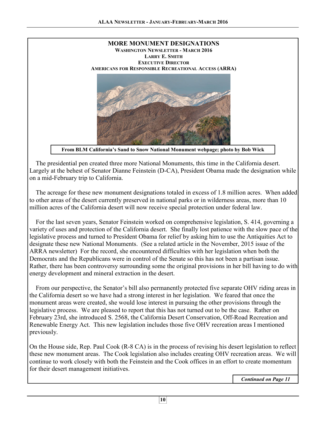

**From BLM California's Sand to Snow National Monument webpage; photo by Bob Wick** 

 The presidential pen created three more National Monuments, this time in the California desert. Largely at the behest of Senator Dianne Feinstein (D-CA), President Obama made the designation while on a mid-February trip to California.

 The acreage for these new monument designations totaled in excess of 1.8 million acres. When added to other areas of the desert currently preserved in national parks or in wilderness areas, more than 10 million acres of the California desert will now receive special protection under federal law.

 For the last seven years, Senator Feinstein worked on comprehensive legislation, S. 414, governing a variety of uses and protection of the California desert. She finally lost patience with the slow pace of the legislative process and turned to President Obama for relief by asking him to use the Antiquities Act to designate these new National Monuments. (See a related article in the November, 2015 issue of the ARRA newsletter) For the record, she encountered difficulties with her legislation when both the Democrats and the Republicans were in control of the Senate so this has not been a partisan issue. Rather, there has been controversy surrounding some the original provisions in her bill having to do with energy development and mineral extraction in the desert.

 From our perspective, the Senator's bill also permanently protected five separate OHV riding areas in the California desert so we have had a strong interest in her legislation. We feared that once the monument areas were created, she would lose interest in pursuing the other provisions through the legislative process. We are pleased to report that this has not turned out to be the case. Rather on February 23rd, she introduced S. 2568, the California Desert Conservation, Off-Road Recreation and Renewable Energy Act. This new legislation includes those five OHV recreation areas I mentioned previously.

On the House side, Rep. Paul Cook (R-8 CA) is in the process of revising his desert legislation to reflect these new monument areas. The Cook legislation also includes creating OHV recreation areas. We will continue to work closely with both the Feinstein and the Cook offices in an effort to create momentum for their desert management initiatives.

*Continued on Page 11*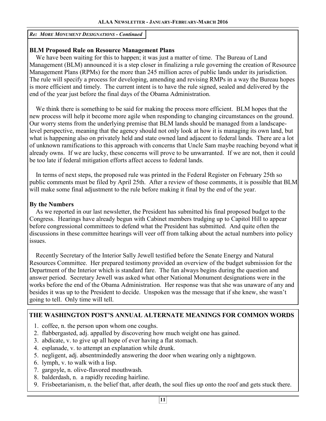*Re: MORE MONUMENT DESIGNATIONS - Continued* 

#### **BLM Proposed Rule on Resource Management Plans**

 We have been waiting for this to happen; it was just a matter of time. The Bureau of Land Management (BLM) announced it is a step closer in finalizing a rule governing the creation of Resource Management Plans (RPMs) for the more than 245 million acres of public lands under its jurisdiction. The rule will specify a process for developing, amending and revising RMPs in a way the Bureau hopes is more efficient and timely. The current intent is to have the rule signed, sealed and delivered by the end of the year just before the final days of the Obama Administration.

 We think there is something to be said for making the process more efficient. BLM hopes that the new process will help it become more agile when responding to changing circumstances on the ground. Our worry stems from the underlying premise that BLM lands should be managed from a landscapelevel perspective, meaning that the agency should not only look at how it is managing its own land, but what is happening also on privately held and state owned land adjacent to federal lands. There are a lot of unknown ramifications to this approach with concerns that Uncle Sam maybe reaching beyond what it already owns. If we are lucky, these concerns will prove to be unwarranted. If we are not, then it could be too late if federal mitigation efforts affect access to federal lands.

 In terms of next steps, the proposed rule was printed in the Federal Register on February 25th so public comments must be filed by April 25th. After a review of those comments, it is possible that BLM will make some final adjustment to the rule before making it final by the end of the year.

#### **By the Numbers**

 As we reported in our last newsletter, the President has submitted his final proposed budget to the Congress. Hearings have already begun with Cabinet members trudging up to Capitol Hill to appear before congressional committees to defend what the President has submitted. And quite often the discussions in these committee hearings will veer off from talking about the actual numbers into policy issues.

 Recently Secretary of the Interior Sally Jewell testified before the Senate Energy and Natural Resources Committee. Her prepared testimony provided an overview of the budget submission for the Department of the Interior which is standard fare. The fun always begins during the question and answer period. Secretary Jewell was asked what other National Monument designations were in the works before the end of the Obama Administration. Her response was that she was unaware of any and besides it was up to the President to decide. Unspoken was the message that if she knew, she wasn't going to tell. Only time will tell.

#### **THE WASHINGTON POST'S ANNUAL ALTERNATE MEANINGS FOR COMMON WORDS**

- 1. coffee, n. the person upon whom one coughs.
- 2. flabbergasted, adj. appalled by discovering how much weight one has gained.
- 3. abdicate, v. to give up all hope of ever having a flat stomach.
- 4. esplanade, v. to attempt an explanation while drunk.
- 5. negligent, adj. absentmindedly answering the door when wearing only a nightgown.
- 6. lymph, v. to walk with a lisp.
- 7. gargoyle, n. olive-flavored mouthwash.
- 8. balderdash, n. a rapidly receding hairline.
- 9. Frisbeetarianism, n. the belief that, after death, the soul flies up onto the roof and gets stuck there.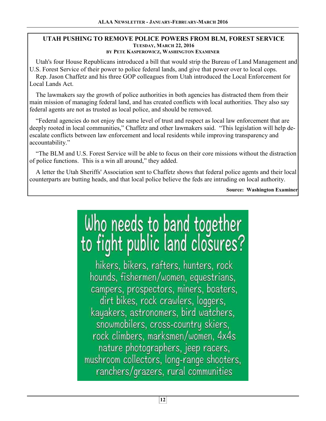#### **UTAH PUSHING TO REMOVE POLICE POWERS FROM BLM, FOREST SERVICE TUESDAY, MARCH 22, 2016 BY PETE KASPEROWICZ, WASHINGTON EXAMINER**

 Utah's four House Republicans introduced a bill that would strip the Bureau of Land Management and U.S. Forest Service of their power to police federal lands, and give that power over to local cops.

 Rep. Jason Chaffetz and his three GOP colleagues from Utah introduced the Local Enforcement for Local Lands Act.

 The lawmakers say the growth of police authorities in both agencies has distracted them from their main mission of managing federal land, and has created conflicts with local authorities. They also say federal agents are not as trusted as local police, and should be removed.

 "Federal agencies do not enjoy the same level of trust and respect as local law enforcement that are deeply rooted in local communities," Chaffetz and other lawmakers said. "This legislation will help deescalate conflicts between law enforcement and local residents while improving transparency and accountability."

 "The BLM and U.S. Forest Service will be able to focus on their core missions without the distraction of police functions. This is a win all around," they added.

 A letter the Utah Sheriffs' Association sent to Chaffetz shows that federal police agents and their local counterparts are butting heads, and that local police believe the feds are intruding on local authority.

**Source: Washington Examiner**

# Who needs to band together<br>to fight public land closures?

hikers, bikers, rafters, hunters, rock hounds, fishermen/women, equestrians, campers, prospectors, miners, boaters, dirt bikes, rock crawlers, loggers, kayakers, astronomers, bird watchers, snowmobilers, cross-country skiers, rock climbers, marksmen/women, 4x4s nature photographers, jeep racers, mushroom collectors, long-range shooters, ranchers/grazers, rural communities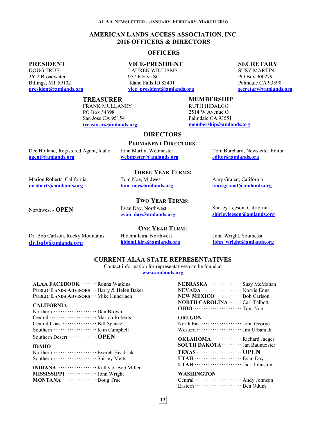#### **AMERICAN LANDS ACCESS ASSOCIATION, INC. 2016 OFFICERS & DIRECTORS**

#### **OFFICERS**

#### **PRESIDENT**

DOUG TRUE 2622 Broadwater Billings, MT 59102 **president@amlands.org** 

**VICE-PRESIDENT**  LAUREN WILLIAMS 957 E Elva St Idaho Falls ID 83401

**TREASURER**  FRANK MULLANEY

PO Box 54398 San Jose CA 95154 **treasurer@amlands.org** 

**vice\_president@amlands.org** 

**DIRECTORS** 

**PERMANENT DIRECTORS:** 

**THREE YEAR TERMS:** 

#### **MEMBERSHIP**

RUTH HIDALGO 2514 W Avenue O Palmdale CA 93551

Dee Holland, Registered Agent, Idaho **agent@amlands.org** 

John Martin, Webmaster **webmaster@amlands.org**  Tom Burchard, Newsletter Editor **editor@amlands.org**

Marion Roberts, California **mroberts@amlands.org**

#### **TWO YEAR TERMS:**

Northwest - **OPEN** Evan Day, Northwest **evan\_day@amlands.org**

**hidemi.kira@amlands.org**

Tom Noe, Midwest

#### Shirley Leeson, California **shirleyleeson@amlands.org**

Amy Granat, California **amy.granat@amlands.org**

Dr. Bob Carlson, Rocky Mountains **dr.bob@amlands.org**

**ONE YEAR TERM:**  Hidemi Kira, Northwest

John Wright, Southeast **john\_wright@amlands.org**

#### **CURRENT ALAA STATE REPRESENTATIVES**

Contact information for representatives can be found at **www.amlands.org**

| ALAA FACEBOOK ……… Ronna Watkins<br>PUBLIC LANDS ADVISORS ··· Harry & Helen Baker<br>PUBLIC LANDS ADVISORS ··· Mike Hunerlach |
|------------------------------------------------------------------------------------------------------------------------------|
| <b>CALIFORNIA</b>                                                                                                            |
| Northern ································ Dan Brown                                                                          |
| Central ································ Marion Roberts                                                                      |
|                                                                                                                              |
|                                                                                                                              |
| Southern Desert ················· OPEN                                                                                       |
| <b>IDAHO</b>                                                                                                                 |
| Northern ····························· Everett Headrick                                                                      |
|                                                                                                                              |

| MISSISSIPPI ······················· John Wright |  |
|-------------------------------------------------|--|
| MONTANA  Doug True                              |  |

| NEBRASKA ···················<br>Susy McMahan<br>NEVADA ··························· Norvie Enns<br>NEW MEXICO ················· Bob Carlson<br><b>NORTH CAROLINA ·······</b> Carl Talbott |
|------------------------------------------------------------------------------------------------------------------------------------------------------------------------------------------|
| OREGON                                                                                                                                                                                   |
| <b>SOUTH DAKOTA</b> ············· Jan Baumeister                                                                                                                                         |
| WASHINGTON<br>Central ···························· Andy Johnson                                                                                                                          |

**membership@amlands.org** 

**tom\_noe@amlands.org**

**SECRETARY**

SUSY MARTIN PO Box 900279 Palmdale CA 93590 **secretary@amlands.org**